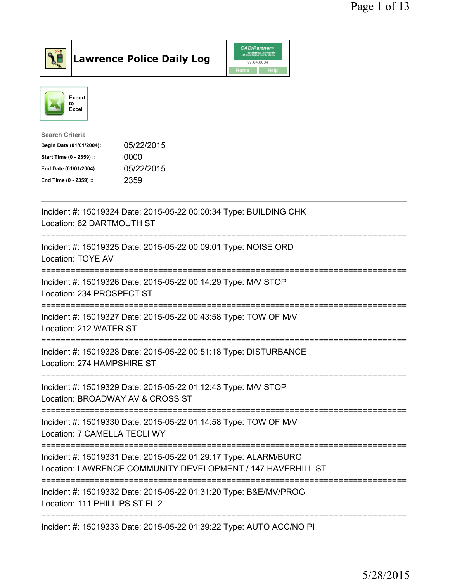



| <b>Search Criteria</b>    |            |
|---------------------------|------------|
| Begin Date (01/01/2004):: | 05/22/2015 |
| Start Time (0 - 2359) ::  | 0000       |
| End Date (01/01/2004)::   | 05/22/2015 |
| End Time (0 - 2359) ::    | 2359       |
|                           |            |

| Incident #: 15019324 Date: 2015-05-22 00:00:34 Type: BUILDING CHK<br>Location: 62 DARTMOUTH ST                                          |
|-----------------------------------------------------------------------------------------------------------------------------------------|
| Incident #: 15019325 Date: 2015-05-22 00:09:01 Type: NOISE ORD<br>Location: TOYE AV                                                     |
| Incident #: 15019326 Date: 2015-05-22 00:14:29 Type: M/V STOP<br>Location: 234 PROSPECT ST                                              |
| Incident #: 15019327 Date: 2015-05-22 00:43:58 Type: TOW OF M/V<br>Location: 212 WATER ST<br>----------------------------------         |
| Incident #: 15019328 Date: 2015-05-22 00:51:18 Type: DISTURBANCE<br>Location: 274 HAMPSHIRE ST<br>------------------------------------- |
| Incident #: 15019329 Date: 2015-05-22 01:12:43 Type: M/V STOP<br>Location: BROADWAY AV & CROSS ST                                       |
| Incident #: 15019330 Date: 2015-05-22 01:14:58 Type: TOW OF M/V<br>Location: 7 CAMELLA TEOLI WY                                         |
| Incident #: 15019331 Date: 2015-05-22 01:29:17 Type: ALARM/BURG<br>Location: LAWRENCE COMMUNITY DEVELOPMENT / 147 HAVERHILL ST          |
| Incident #: 15019332 Date: 2015-05-22 01:31:20 Type: B&E/MV/PROG<br>Location: 111 PHILLIPS ST FL 2                                      |
| Incident #: 15019333 Date: 2015-05-22 01:39:22 Type: AUTO ACC/NO PI                                                                     |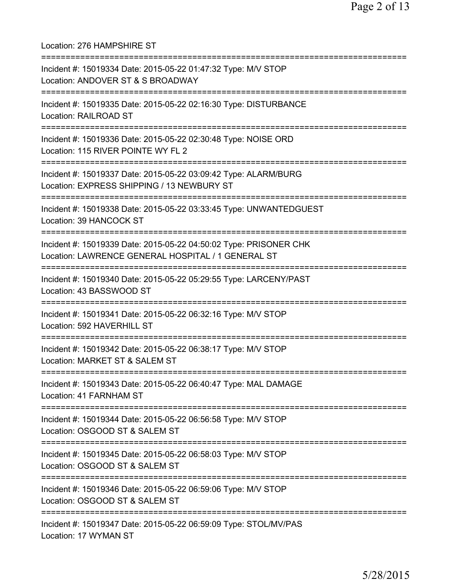Location: 276 HAMPSHIRE ST =========================================================================== Incident #: 15019334 Date: 2015-05-22 01:47:32 Type: M/V STOP Location: ANDOVER ST & S BROADWAY =========================================================================== Incident #: 15019335 Date: 2015-05-22 02:16:30 Type: DISTURBANCE Location: RAILROAD ST =========================================================================== Incident #: 15019336 Date: 2015-05-22 02:30:48 Type: NOISE ORD Location: 115 RIVER POINTE WY FL 2 =========================================================================== Incident #: 15019337 Date: 2015-05-22 03:09:42 Type: ALARM/BURG Location: EXPRESS SHIPPING / 13 NEWBURY ST =========================================================================== Incident #: 15019338 Date: 2015-05-22 03:33:45 Type: UNWANTEDGUEST Location: 39 HANCOCK ST =========================================================================== Incident #: 15019339 Date: 2015-05-22 04:50:02 Type: PRISONER CHK Location: LAWRENCE GENERAL HOSPITAL / 1 GENERAL ST =========================================================================== Incident #: 15019340 Date: 2015-05-22 05:29:55 Type: LARCENY/PAST Location: 43 BASSWOOD ST =========================================================================== Incident #: 15019341 Date: 2015-05-22 06:32:16 Type: M/V STOP Location: 592 HAVERHILL ST =========================================================================== Incident #: 15019342 Date: 2015-05-22 06:38:17 Type: M/V STOP Location: MARKET ST & SALEM ST =========================================================================== Incident #: 15019343 Date: 2015-05-22 06:40:47 Type: MAL DAMAGE Location: 41 FARNHAM ST =========================================================================== Incident #: 15019344 Date: 2015-05-22 06:56:58 Type: M/V STOP Location: OSGOOD ST & SALEM ST =========================================================================== Incident #: 15019345 Date: 2015-05-22 06:58:03 Type: M/V STOP Location: OSGOOD ST & SALEM ST =========================================================================== Incident #: 15019346 Date: 2015-05-22 06:59:06 Type: M/V STOP Location: OSGOOD ST & SALEM ST =========================================================================== Incident #: 15019347 Date: 2015-05-22 06:59:09 Type: STOL/MV/PAS Location: 17 WYMAN ST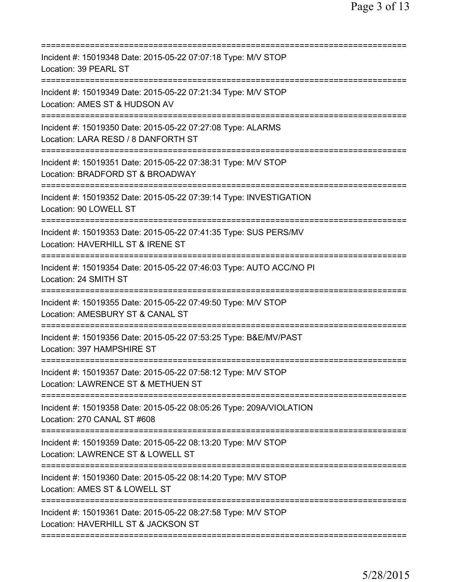| Incident #: 15019348 Date: 2015-05-22 07:07:18 Type: M/V STOP<br>Location: 39 PEARL ST                                                 |
|----------------------------------------------------------------------------------------------------------------------------------------|
| Incident #: 15019349 Date: 2015-05-22 07:21:34 Type: M/V STOP<br>Location: AMES ST & HUDSON AV                                         |
| Incident #: 15019350 Date: 2015-05-22 07:27:08 Type: ALARMS<br>Location: LARA RESD / 8 DANFORTH ST                                     |
| Incident #: 15019351 Date: 2015-05-22 07:38:31 Type: M/V STOP<br>Location: BRADFORD ST & BROADWAY                                      |
| ==========================<br>Incident #: 15019352 Date: 2015-05-22 07:39:14 Type: INVESTIGATION<br>Location: 90 LOWELL ST             |
| Incident #: 15019353 Date: 2015-05-22 07:41:35 Type: SUS PERS/MV<br>Location: HAVERHILL ST & IRENE ST                                  |
| Incident #: 15019354 Date: 2015-05-22 07:46:03 Type: AUTO ACC/NO PI<br>Location: 24 SMITH ST<br>====================================== |
| Incident #: 15019355 Date: 2015-05-22 07:49:50 Type: M/V STOP<br>Location: AMESBURY ST & CANAL ST<br>:========================         |
| Incident #: 15019356 Date: 2015-05-22 07:53:25 Type: B&E/MV/PAST<br>Location: 397 HAMPSHIRE ST                                         |
| Incident #: 15019357 Date: 2015-05-22 07:58:12 Type: M/V STOP<br>Location: LAWRENCE ST & METHUEN ST                                    |
| Incident #: 15019358 Date: 2015-05-22 08:05:26 Type: 209A/VIOLATION<br>Location: 270 CANAL ST #608                                     |
| Incident #: 15019359 Date: 2015-05-22 08:13:20 Type: M/V STOP<br>Location: LAWRENCE ST & LOWELL ST<br>===============================  |
| Incident #: 15019360 Date: 2015-05-22 08:14:20 Type: M/V STOP<br>Location: AMES ST & LOWELL ST                                         |
| ===========================<br>Incident #: 15019361 Date: 2015-05-22 08:27:58 Type: M/V STOP<br>Location: HAVERHILL ST & JACKSON ST    |
|                                                                                                                                        |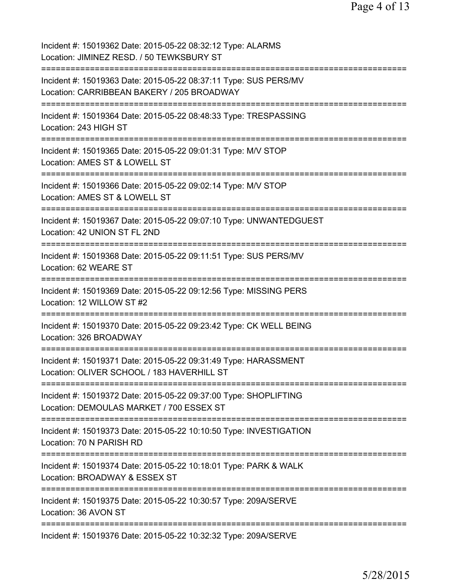Incident #: 15019362 Date: 2015-05-22 08:32:12 Type: ALARMS Location: JIMINEZ RESD. / 50 TEWKSBURY ST =========================================================================== Incident #: 15019363 Date: 2015-05-22 08:37:11 Type: SUS PERS/MV Location: CARRIBBEAN BAKERY / 205 BROADWAY =========================================================================== Incident #: 15019364 Date: 2015-05-22 08:48:33 Type: TRESPASSING Location: 243 HIGH ST =========================================================================== Incident #: 15019365 Date: 2015-05-22 09:01:31 Type: M/V STOP Location: AMES ST & LOWELL ST =========================================================================== Incident #: 15019366 Date: 2015-05-22 09:02:14 Type: M/V STOP Location: AMES ST & LOWELL ST =========================================================================== Incident #: 15019367 Date: 2015-05-22 09:07:10 Type: UNWANTEDGUEST Location: 42 UNION ST FL 2ND =========================================================================== Incident #: 15019368 Date: 2015-05-22 09:11:51 Type: SUS PERS/MV Location: 62 WEARE ST =========================================================================== Incident #: 15019369 Date: 2015-05-22 09:12:56 Type: MISSING PERS Location: 12 WILLOW ST #2 =========================================================================== Incident #: 15019370 Date: 2015-05-22 09:23:42 Type: CK WELL BEING Location: 326 BROADWAY =========================================================================== Incident #: 15019371 Date: 2015-05-22 09:31:49 Type: HARASSMENT Location: OLIVER SCHOOL / 183 HAVERHILL ST =========================================================================== Incident #: 15019372 Date: 2015-05-22 09:37:00 Type: SHOPLIFTING Location: DEMOULAS MARKET / 700 ESSEX ST =========================================================================== Incident #: 15019373 Date: 2015-05-22 10:10:50 Type: INVESTIGATION Location: 70 N PARISH RD =========================================================================== Incident #: 15019374 Date: 2015-05-22 10:18:01 Type: PARK & WALK Location: BROADWAY & ESSEX ST =========================================================================== Incident #: 15019375 Date: 2015-05-22 10:30:57 Type: 209A/SERVE Location: 36 AVON ST =========================================================================== Incident #: 15019376 Date: 2015-05-22 10:32:32 Type: 209A/SERVE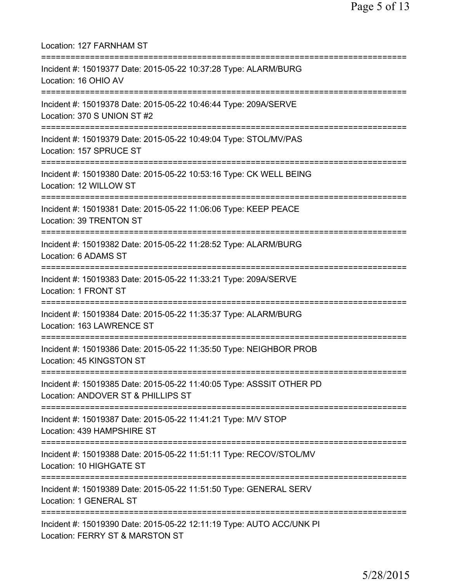| Location: 127 FARNHAM ST<br>=======================                                                                                                  |
|------------------------------------------------------------------------------------------------------------------------------------------------------|
| Incident #: 15019377 Date: 2015-05-22 10:37:28 Type: ALARM/BURG<br>Location: 16 OHIO AV<br>================================                          |
| Incident #: 15019378 Date: 2015-05-22 10:46:44 Type: 209A/SERVE<br>Location: 370 S UNION ST #2                                                       |
| Incident #: 15019379 Date: 2015-05-22 10:49:04 Type: STOL/MV/PAS<br>Location: 157 SPRUCE ST                                                          |
| Incident #: 15019380 Date: 2015-05-22 10:53:16 Type: CK WELL BEING<br>Location: 12 WILLOW ST                                                         |
| Incident #: 15019381 Date: 2015-05-22 11:06:06 Type: KEEP PEACE<br>Location: 39 TRENTON ST                                                           |
| Incident #: 15019382 Date: 2015-05-22 11:28:52 Type: ALARM/BURG<br>Location: 6 ADAMS ST                                                              |
| Incident #: 15019383 Date: 2015-05-22 11:33:21 Type: 209A/SERVE<br>Location: 1 FRONT ST                                                              |
| Incident #: 15019384 Date: 2015-05-22 11:35:37 Type: ALARM/BURG<br>Location: 163 LAWRENCE ST                                                         |
| Incident #: 15019386 Date: 2015-05-22 11:35:50 Type: NEIGHBOR PROB<br>Location: 45 KINGSTON ST                                                       |
| ======================================<br>Incident #: 15019385 Date: 2015-05-22 11:40:05 Type: ASSSIT OTHER PD<br>Location: ANDOVER ST & PHILLIPS ST |
| :=============================<br>Incident #: 15019387 Date: 2015-05-22 11:41:21 Type: M/V STOP<br>Location: 439 HAMPSHIRE ST                        |
| Incident #: 15019388 Date: 2015-05-22 11:51:11 Type: RECOV/STOL/MV<br>Location: 10 HIGHGATE ST                                                       |
| Incident #: 15019389 Date: 2015-05-22 11:51:50 Type: GENERAL SERV<br>Location: 1 GENERAL ST                                                          |
| Incident #: 15019390 Date: 2015-05-22 12:11:19 Type: AUTO ACC/UNK PI<br>Location: FERRY ST & MARSTON ST                                              |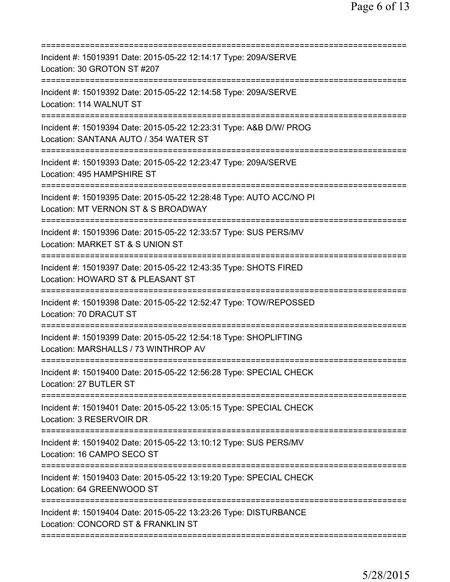| Incident #: 15019391 Date: 2015-05-22 12:14:17 Type: 209A/SERVE<br>Location: 30 GROTON ST #207              |
|-------------------------------------------------------------------------------------------------------------|
| Incident #: 15019392 Date: 2015-05-22 12:14:58 Type: 209A/SERVE<br>Location: 114 WALNUT ST                  |
| Incident #: 15019394 Date: 2015-05-22 12:23:31 Type: A&B D/W/ PROG<br>Location: SANTANA AUTO / 354 WATER ST |
| Incident #: 15019393 Date: 2015-05-22 12:23:47 Type: 209A/SERVE<br>Location: 495 HAMPSHIRE ST               |
| Incident #: 15019395 Date: 2015-05-22 12:28:48 Type: AUTO ACC/NO PI<br>Location: MT VERNON ST & S BROADWAY  |
| Incident #: 15019396 Date: 2015-05-22 12:33:57 Type: SUS PERS/MV<br>Location: MARKET ST & S UNION ST        |
| Incident #: 15019397 Date: 2015-05-22 12:43:35 Type: SHOTS FIRED<br>Location: HOWARD ST & PLEASANT ST       |
| Incident #: 15019398 Date: 2015-05-22 12:52:47 Type: TOW/REPOSSED<br>Location: 70 DRACUT ST                 |
| Incident #: 15019399 Date: 2015-05-22 12:54:18 Type: SHOPLIFTING<br>Location: MARSHALLS / 73 WINTHROP AV    |
| Incident #: 15019400 Date: 2015-05-22 12:56:28 Type: SPECIAL CHECK<br>Location: 27 BUTLER ST                |
| Incident #: 15019401 Date: 2015-05-22 13:05:15 Type: SPECIAL CHECK<br>Location: 3 RESERVOIR DR              |
| Incident #: 15019402 Date: 2015-05-22 13:10:12 Type: SUS PERS/MV<br>Location: 16 CAMPO SECO ST              |
| Incident #: 15019403 Date: 2015-05-22 13:19:20 Type: SPECIAL CHECK<br>Location: 64 GREENWOOD ST             |
| Incident #: 15019404 Date: 2015-05-22 13:23:26 Type: DISTURBANCE<br>Location: CONCORD ST & FRANKLIN ST      |
|                                                                                                             |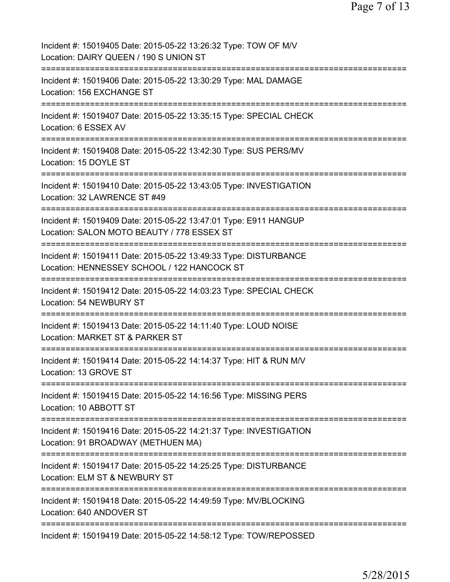| Incident #: 15019405 Date: 2015-05-22 13:26:32 Type: TOW OF M/V<br>Location: DAIRY QUEEN / 190 S UNION ST                                 |
|-------------------------------------------------------------------------------------------------------------------------------------------|
| Incident #: 15019406 Date: 2015-05-22 13:30:29 Type: MAL DAMAGE<br>Location: 156 EXCHANGE ST                                              |
| Incident #: 15019407 Date: 2015-05-22 13:35:15 Type: SPECIAL CHECK<br>Location: 6 ESSEX AV                                                |
| Incident #: 15019408 Date: 2015-05-22 13:42:30 Type: SUS PERS/MV<br>Location: 15 DOYLE ST                                                 |
| Incident #: 15019410 Date: 2015-05-22 13:43:05 Type: INVESTIGATION<br>Location: 32 LAWRENCE ST #49                                        |
| Incident #: 15019409 Date: 2015-05-22 13:47:01 Type: E911 HANGUP<br>Location: SALON MOTO BEAUTY / 778 ESSEX ST<br>=================       |
| Incident #: 15019411 Date: 2015-05-22 13:49:33 Type: DISTURBANCE<br>Location: HENNESSEY SCHOOL / 122 HANCOCK ST                           |
| Incident #: 15019412 Date: 2015-05-22 14:03:23 Type: SPECIAL CHECK<br>Location: 54 NEWBURY ST                                             |
| Incident #: 15019413 Date: 2015-05-22 14:11:40 Type: LOUD NOISE<br>Location: MARKET ST & PARKER ST                                        |
| Incident #: 15019414 Date: 2015-05-22 14:14:37 Type: HIT & RUN M/V<br>Location: 13 GROVE ST                                               |
| Incident #: 15019415 Date: 2015-05-22 14:16:56 Type: MISSING PERS<br>Location: 10 ABBOTT ST                                               |
| Incident #: 15019416 Date: 2015-05-22 14:21:37 Type: INVESTIGATION<br>Location: 91 BROADWAY (METHUEN MA)<br>============================= |
| Incident #: 15019417 Date: 2015-05-22 14:25:25 Type: DISTURBANCE<br>Location: ELM ST & NEWBURY ST                                         |
| Incident #: 15019418 Date: 2015-05-22 14:49:59 Type: MV/BLOCKING<br>Location: 640 ANDOVER ST                                              |
| ======================================<br>Incident #: 15019419 Date: 2015-05-22 14:58:12 Type: TOW/REPOSSED                               |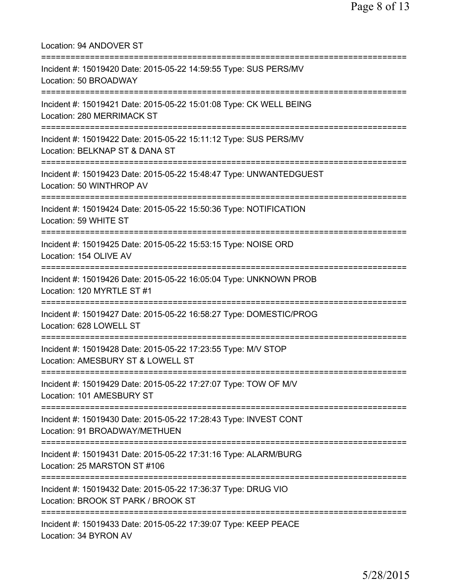| Location: 94 ANDOVER ST                                                                                                                   |
|-------------------------------------------------------------------------------------------------------------------------------------------|
| Incident #: 15019420 Date: 2015-05-22 14:59:55 Type: SUS PERS/MV<br>Location: 50 BROADWAY<br>================================             |
| Incident #: 15019421 Date: 2015-05-22 15:01:08 Type: CK WELL BEING<br>Location: 280 MERRIMACK ST                                          |
| Incident #: 15019422 Date: 2015-05-22 15:11:12 Type: SUS PERS/MV<br>Location: BELKNAP ST & DANA ST                                        |
| Incident #: 15019423 Date: 2015-05-22 15:48:47 Type: UNWANTEDGUEST<br>Location: 50 WINTHROP AV                                            |
| Incident #: 15019424 Date: 2015-05-22 15:50:36 Type: NOTIFICATION<br>Location: 59 WHITE ST                                                |
| Incident #: 15019425 Date: 2015-05-22 15:53:15 Type: NOISE ORD<br>Location: 154 OLIVE AV<br>------------------------------                |
| Incident #: 15019426 Date: 2015-05-22 16:05:04 Type: UNKNOWN PROB<br>Location: 120 MYRTLE ST #1<br>;===============================       |
| Incident #: 15019427 Date: 2015-05-22 16:58:27 Type: DOMESTIC/PROG<br>Location: 628 LOWELL ST                                             |
| Incident #: 15019428 Date: 2015-05-22 17:23:55 Type: M/V STOP<br>Location: AMESBURY ST & LOWELL ST                                        |
| ====================================<br>Incident #: 15019429 Date: 2015-05-22 17:27:07 Type: TOW OF M/V<br>Location: 101 AMESBURY ST      |
| Incident #: 15019430 Date: 2015-05-22 17:28:43 Type: INVEST CONT<br>Location: 91 BROADWAY/METHUEN                                         |
| Incident #: 15019431 Date: 2015-05-22 17:31:16 Type: ALARM/BURG<br>Location: 25 MARSTON ST #106                                           |
| ----------------------------------<br>Incident #: 15019432 Date: 2015-05-22 17:36:37 Type: DRUG VIO<br>Location: BROOK ST PARK / BROOK ST |
| Incident #: 15019433 Date: 2015-05-22 17:39:07 Type: KEEP PEACE<br>Location: 34 BYRON AV                                                  |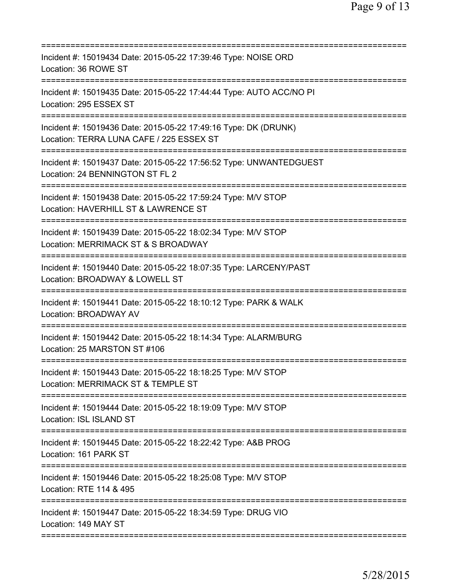| Incident #: 15019434 Date: 2015-05-22 17:39:46 Type: NOISE ORD<br>Location: 36 ROWE ST                                                 |
|----------------------------------------------------------------------------------------------------------------------------------------|
| Incident #: 15019435 Date: 2015-05-22 17:44:44 Type: AUTO ACC/NO PI<br>Location: 295 ESSEX ST                                          |
| Incident #: 15019436 Date: 2015-05-22 17:49:16 Type: DK (DRUNK)<br>Location: TERRA LUNA CAFE / 225 ESSEX ST                            |
| Incident #: 15019437 Date: 2015-05-22 17:56:52 Type: UNWANTEDGUEST<br>Location: 24 BENNINGTON ST FL 2                                  |
| Incident #: 15019438 Date: 2015-05-22 17:59:24 Type: M/V STOP<br>Location: HAVERHILL ST & LAWRENCE ST                                  |
| Incident #: 15019439 Date: 2015-05-22 18:02:34 Type: M/V STOP<br>Location: MERRIMACK ST & S BROADWAY<br>============================== |
| Incident #: 15019440 Date: 2015-05-22 18:07:35 Type: LARCENY/PAST<br>Location: BROADWAY & LOWELL ST<br>;=======================        |
| Incident #: 15019441 Date: 2015-05-22 18:10:12 Type: PARK & WALK<br><b>Location: BROADWAY AV</b>                                       |
| Incident #: 15019442 Date: 2015-05-22 18:14:34 Type: ALARM/BURG<br>Location: 25 MARSTON ST #106                                        |
| Incident #: 15019443 Date: 2015-05-22 18:18:25 Type: M/V STOP<br>Location: MERRIMACK ST & TEMPLE ST                                    |
| Incident #: 15019444 Date: 2015-05-22 18:19:09 Type: M/V STOP<br>Location: ISL ISLAND ST                                               |
| Incident #: 15019445 Date: 2015-05-22 18:22:42 Type: A&B PROG<br>Location: 161 PARK ST                                                 |
| Incident #: 15019446 Date: 2015-05-22 18:25:08 Type: M/V STOP<br>Location: RTE 114 & 495                                               |
| Incident #: 15019447 Date: 2015-05-22 18:34:59 Type: DRUG VIO<br>Location: 149 MAY ST                                                  |
|                                                                                                                                        |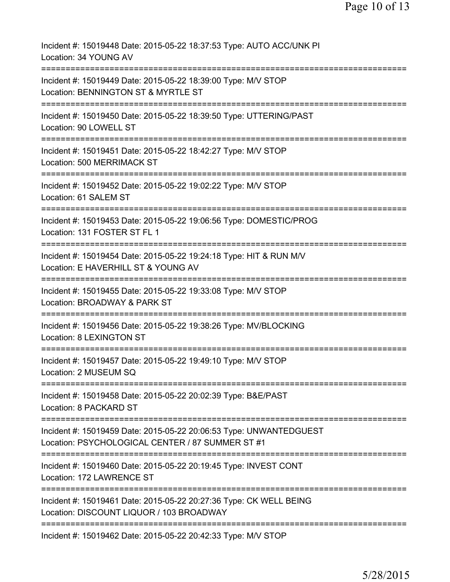| Incident #: 15019448 Date: 2015-05-22 18:37:53 Type: AUTO ACC/UNK PI<br>Location: 34 YOUNG AV                                                       |
|-----------------------------------------------------------------------------------------------------------------------------------------------------|
| Incident #: 15019449 Date: 2015-05-22 18:39:00 Type: M/V STOP<br>Location: BENNINGTON ST & MYRTLE ST                                                |
| Incident #: 15019450 Date: 2015-05-22 18:39:50 Type: UTTERING/PAST<br>Location: 90 LOWELL ST                                                        |
| Incident #: 15019451 Date: 2015-05-22 18:42:27 Type: M/V STOP<br>Location: 500 MERRIMACK ST                                                         |
| Incident #: 15019452 Date: 2015-05-22 19:02:22 Type: M/V STOP<br>Location: 61 SALEM ST                                                              |
| Incident #: 15019453 Date: 2015-05-22 19:06:56 Type: DOMESTIC/PROG<br>Location: 131 FOSTER ST FL 1                                                  |
| ======================================<br>Incident #: 15019454 Date: 2015-05-22 19:24:18 Type: HIT & RUN M/V<br>Location: E HAVERHILL ST & YOUNG AV |
| Incident #: 15019455 Date: 2015-05-22 19:33:08 Type: M/V STOP<br>Location: BROADWAY & PARK ST                                                       |
| Incident #: 15019456 Date: 2015-05-22 19:38:26 Type: MV/BLOCKING<br>Location: 8 LEXINGTON ST                                                        |
| Incident #: 15019457 Date: 2015-05-22 19:49:10 Type: M/V STOP<br>Location: 2 MUSEUM SQ                                                              |
| Incident #: 15019458 Date: 2015-05-22 20:02:39 Type: B&E/PAST<br>Location: 8 PACKARD ST                                                             |
| Incident #: 15019459 Date: 2015-05-22 20:06:53 Type: UNWANTEDGUEST<br>Location: PSYCHOLOGICAL CENTER / 87 SUMMER ST #1                              |
| Incident #: 15019460 Date: 2015-05-22 20:19:45 Type: INVEST CONT<br>Location: 172 LAWRENCE ST                                                       |
| Incident #: 15019461 Date: 2015-05-22 20:27:36 Type: CK WELL BEING<br>Location: DISCOUNT LIQUOR / 103 BROADWAY                                      |
| Incident #: 15019462 Date: 2015-05-22 20:42:33 Type: M/V STOP                                                                                       |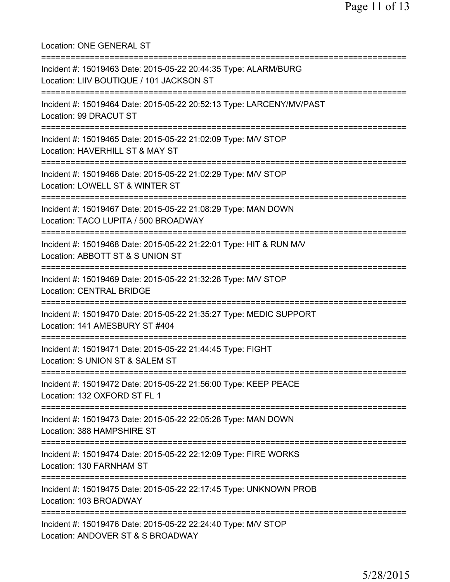Location: ONE GENERAL ST =========================================================================== Incident #: 15019463 Date: 2015-05-22 20:44:35 Type: ALARM/BURG Location: LIIV BOUTIQUE / 101 JACKSON ST =========================================================================== Incident #: 15019464 Date: 2015-05-22 20:52:13 Type: LARCENY/MV/PAST Location: 99 DRACUT ST =========================================================================== Incident #: 15019465 Date: 2015-05-22 21:02:09 Type: M/V STOP Location: HAVERHILL ST & MAY ST =========================================================================== Incident #: 15019466 Date: 2015-05-22 21:02:29 Type: M/V STOP Location: LOWELL ST & WINTER ST =========================================================================== Incident #: 15019467 Date: 2015-05-22 21:08:29 Type: MAN DOWN Location: TACO LUPITA / 500 BROADWAY =========================================================================== Incident #: 15019468 Date: 2015-05-22 21:22:01 Type: HIT & RUN M/V Location: ABBOTT ST & S UNION ST =========================================================================== Incident #: 15019469 Date: 2015-05-22 21:32:28 Type: M/V STOP Location: CENTRAL BRIDGE =========================================================================== Incident #: 15019470 Date: 2015-05-22 21:35:27 Type: MEDIC SUPPORT Location: 141 AMESBURY ST #404 =========================================================================== Incident #: 15019471 Date: 2015-05-22 21:44:45 Type: FIGHT Location: S UNION ST & SALEM ST =========================================================================== Incident #: 15019472 Date: 2015-05-22 21:56:00 Type: KEEP PEACE Location: 132 OXFORD ST FL 1 =========================================================================== Incident #: 15019473 Date: 2015-05-22 22:05:28 Type: MAN DOWN Location: 388 HAMPSHIRE ST =========================================================================== Incident #: 15019474 Date: 2015-05-22 22:12:09 Type: FIRE WORKS Location: 130 FARNHAM ST =========================================================================== Incident #: 15019475 Date: 2015-05-22 22:17:45 Type: UNKNOWN PROB Location: 103 BROADWAY =========================================================================== Incident #: 15019476 Date: 2015-05-22 22:24:40 Type: M/V STOP Location: ANDOVER ST & S BROADWAY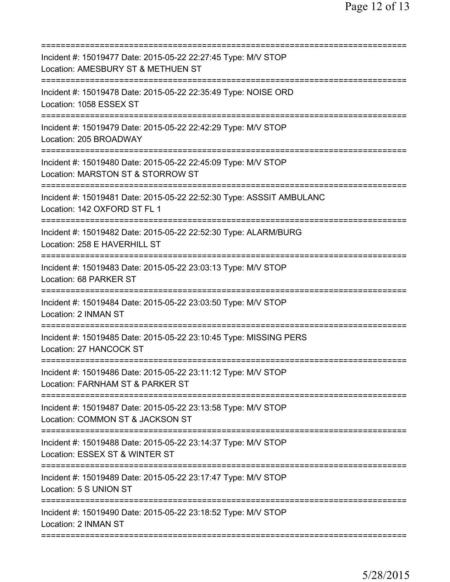| Incident #: 15019477 Date: 2015-05-22 22:27:45 Type: M/V STOP<br>Location: AMESBURY ST & METHUEN ST                                |
|------------------------------------------------------------------------------------------------------------------------------------|
| Incident #: 15019478 Date: 2015-05-22 22:35:49 Type: NOISE ORD<br>Location: 1058 ESSEX ST                                          |
| Incident #: 15019479 Date: 2015-05-22 22:42:29 Type: M/V STOP<br>Location: 205 BROADWAY                                            |
| Incident #: 15019480 Date: 2015-05-22 22:45:09 Type: M/V STOP<br>Location: MARSTON ST & STORROW ST                                 |
| ========================<br>Incident #: 15019481 Date: 2015-05-22 22:52:30 Type: ASSSIT AMBULANC<br>Location: 142 OXFORD ST FL 1   |
| Incident #: 15019482 Date: 2015-05-22 22:52:30 Type: ALARM/BURG<br>Location: 258 E HAVERHILL ST                                    |
| Incident #: 15019483 Date: 2015-05-22 23:03:13 Type: M/V STOP<br>Location: 68 PARKER ST                                            |
| Incident #: 15019484 Date: 2015-05-22 23:03:50 Type: M/V STOP<br>Location: 2 INMAN ST                                              |
| Incident #: 15019485 Date: 2015-05-22 23:10:45 Type: MISSING PERS<br>Location: 27 HANCOCK ST                                       |
| Incident #: 15019486 Date: 2015-05-22 23:11:12 Type: M/V STOP<br>Location: FARNHAM ST & PARKER ST                                  |
| Incident #: 15019487 Date: 2015-05-22 23:13:58 Type: M/V STOP<br>Location: COMMON ST & JACKSON ST                                  |
| ===============================<br>Incident #: 15019488 Date: 2015-05-22 23:14:37 Type: M/V STOP<br>Location: ESSEX ST & WINTER ST |
| Incident #: 15019489 Date: 2015-05-22 23:17:47 Type: M/V STOP<br>Location: 5 S UNION ST                                            |
| Incident #: 15019490 Date: 2015-05-22 23:18:52 Type: M/V STOP<br>Location: 2 INMAN ST                                              |
|                                                                                                                                    |